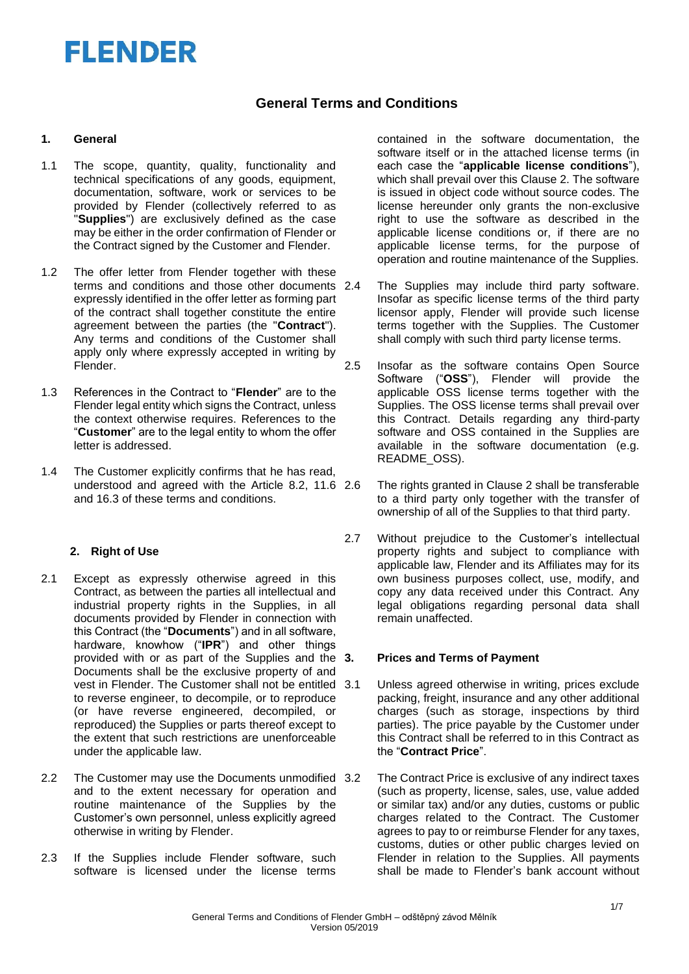# **General Terms and Conditions**

### **1. General**

- 1.1 The scope, quantity, quality, functionality and technical specifications of any goods, equipment, documentation, software, work or services to be provided by Flender (collectively referred to as "**Supplies**") are exclusively defined as the case may be either in the order confirmation of Flender or the Contract signed by the Customer and Flender.
- 1.2 The offer letter from Flender together with these terms and conditions and those other documents 2.4 expressly identified in the offer letter as forming part of the contract shall together constitute the entire agreement between the parties (the "**Contract**"). Any terms and conditions of the Customer shall apply only where expressly accepted in writing by Flender.
- 1.3 References in the Contract to "**Flender**" are to the Flender legal entity which signs the Contract, unless the context otherwise requires. References to the "**Customer**" are to the legal entity to whom the offer letter is addressed.
- 1.4 The Customer explicitly confirms that he has read, understood and agreed with the Article 8.2, 11.6 and 16.3 of these terms and conditions.

## **2. Right of Use**

- 2.1 Except as expressly otherwise agreed in this Contract, as between the parties all intellectual and industrial property rights in the Supplies, in all documents provided by Flender in connection with this Contract (the "**Documents**") and in all software, hardware, knowhow ("**IPR**") and other things provided with or as part of the Supplies and the Documents shall be the exclusive property of and vest in Flender. The Customer shall not be entitled to reverse engineer, to decompile, or to reproduce (or have reverse engineered, decompiled, or reproduced) the Supplies or parts thereof except to the extent that such restrictions are unenforceable under the applicable law.
- 2.2 The Customer may use the Documents unmodified 3.2 and to the extent necessary for operation and routine maintenance of the Supplies by the Customer's own personnel, unless explicitly agreed otherwise in writing by Flender.
- 2.3 If the Supplies include Flender software, such software is licensed under the license terms

contained in the software documentation, the software itself or in the attached license terms (in each case the "**applicable license conditions**"), which shall prevail over this Clause 2. The software is issued in object code without source codes. The license hereunder only grants the non-exclusive right to use the software as described in the applicable license conditions or, if there are no applicable license terms, for the purpose of operation and routine maintenance of the Supplies.

- The Supplies may include third party software. Insofar as specific license terms of the third party licensor apply, Flender will provide such license terms together with the Supplies. The Customer shall comply with such third party license terms.
- 2.5 Insofar as the software contains Open Source Software ("**OSS**"), Flender will provide the applicable OSS license terms together with the Supplies. The OSS license terms shall prevail over this Contract. Details regarding any third-party software and OSS contained in the Supplies are available in the software documentation (e.g. README\_OSS).
	- The rights granted in Clause 2 shall be transferable to a third party only together with the transfer of ownership of all of the Supplies to that third party.
- 2.7 Without prejudice to the Customer's intellectual property rights and subject to compliance with applicable law, Flender and its Affiliates may for its own business purposes collect, use, modify, and copy any data received under this Contract. Any legal obligations regarding personal data shall remain unaffected.

#### **3. Prices and Terms of Payment**

- Unless agreed otherwise in writing, prices exclude packing, freight, insurance and any other additional charges (such as storage, inspections by third parties). The price payable by the Customer under this Contract shall be referred to in this Contract as the "**Contract Price**".
- The Contract Price is exclusive of any indirect taxes (such as property, license, sales, use, value added or similar tax) and/or any duties, customs or public charges related to the Contract. The Customer agrees to pay to or reimburse Flender for any taxes, customs, duties or other public charges levied on Flender in relation to the Supplies. All payments shall be made to Flender's bank account without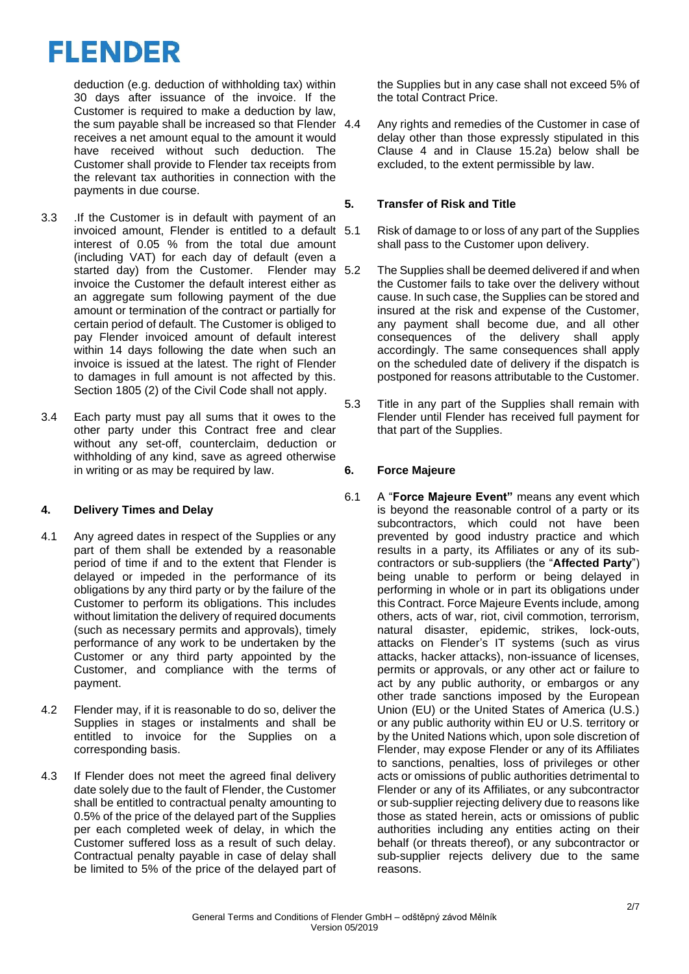deduction (e.g. deduction of withholding tax) within 30 days after issuance of the invoice. If the Customer is required to make a deduction by law, the sum payable shall be increased so that Flender 4.4 receives a net amount equal to the amount it would have received without such deduction. The Customer shall provide to Flender tax receipts from the relevant tax authorities in connection with the payments in due course.

- 3.3 .If the Customer is in default with payment of an invoiced amount, Flender is entitled to a default interest of 0.05 % from the total due amount (including VAT) for each day of default (even a started day) from the Customer. Flender may 5.2 invoice the Customer the default interest either as an aggregate sum following payment of the due amount or termination of the contract or partially for certain period of default. The Customer is obliged to pay Flender invoiced amount of default interest within 14 days following the date when such an invoice is issued at the latest. The right of Flender to damages in full amount is not affected by this. Section 1805 (2) of the Civil Code shall not apply.
- 3.4 Each party must pay all sums that it owes to the other party under this Contract free and clear without any set-off, counterclaim, deduction or withholding of any kind, save as agreed otherwise in writing or as may be required by law.

# **4. Delivery Times and Delay**

- 4.1 Any agreed dates in respect of the Supplies or any part of them shall be extended by a reasonable period of time if and to the extent that Flender is delayed or impeded in the performance of its obligations by any third party or by the failure of the Customer to perform its obligations. This includes without limitation the delivery of required documents (such as necessary permits and approvals), timely performance of any work to be undertaken by the Customer or any third party appointed by the Customer, and compliance with the terms of payment.
- 4.2 Flender may, if it is reasonable to do so, deliver the Supplies in stages or instalments and shall be entitled to invoice for the Supplies on a corresponding basis.
- 4.3 If Flender does not meet the agreed final delivery date solely due to the fault of Flender, the Customer shall be entitled to contractual penalty amounting to 0.5% of the price of the delayed part of the Supplies per each completed week of delay, in which the Customer suffered loss as a result of such delay. Contractual penalty payable in case of delay shall be limited to 5% of the price of the delayed part of

the Supplies but in any case shall not exceed 5% of the total Contract Price.

Any rights and remedies of the Customer in case of delay other than those expressly stipulated in this Clause 4 and in Clause 15.2a) below shall be excluded, to the extent permissible by law.

## **5. Transfer of Risk and Title**

- Risk of damage to or loss of any part of the Supplies shall pass to the Customer upon delivery.
- The Supplies shall be deemed delivered if and when the Customer fails to take over the delivery without cause. In such case, the Supplies can be stored and insured at the risk and expense of the Customer, any payment shall become due, and all other consequences of the delivery shall apply accordingly. The same consequences shall apply on the scheduled date of delivery if the dispatch is postponed for reasons attributable to the Customer.
- 5.3 Title in any part of the Supplies shall remain with Flender until Flender has received full payment for that part of the Supplies.

# **6. Force Majeure**

6.1 A "**Force Majeure Event"** means any event which is beyond the reasonable control of a party or its subcontractors, which could not have been prevented by good industry practice and which results in a party, its Affiliates or any of its subcontractors or sub-suppliers (the "**Affected Party**") being unable to perform or being delayed in performing in whole or in part its obligations under this Contract. Force Majeure Events include, among others, acts of war, riot, civil commotion, terrorism, natural disaster, epidemic, strikes, lock-outs, attacks on Flender's IT systems (such as virus attacks, hacker attacks), non-issuance of licenses, permits or approvals, or any other act or failure to act by any public authority, or embargos or any other trade sanctions imposed by the European Union (EU) or the United States of America (U.S.) or any public authority within EU or U.S. territory or by the United Nations which, upon sole discretion of Flender, may expose Flender or any of its Affiliates to sanctions, penalties, loss of privileges or other acts or omissions of public authorities detrimental to Flender or any of its Affiliates, or any subcontractor or sub-supplier rejecting delivery due to reasons like those as stated herein, acts or omissions of public authorities including any entities acting on their behalf (or threats thereof), or any subcontractor or sub-supplier rejects delivery due to the same reasons.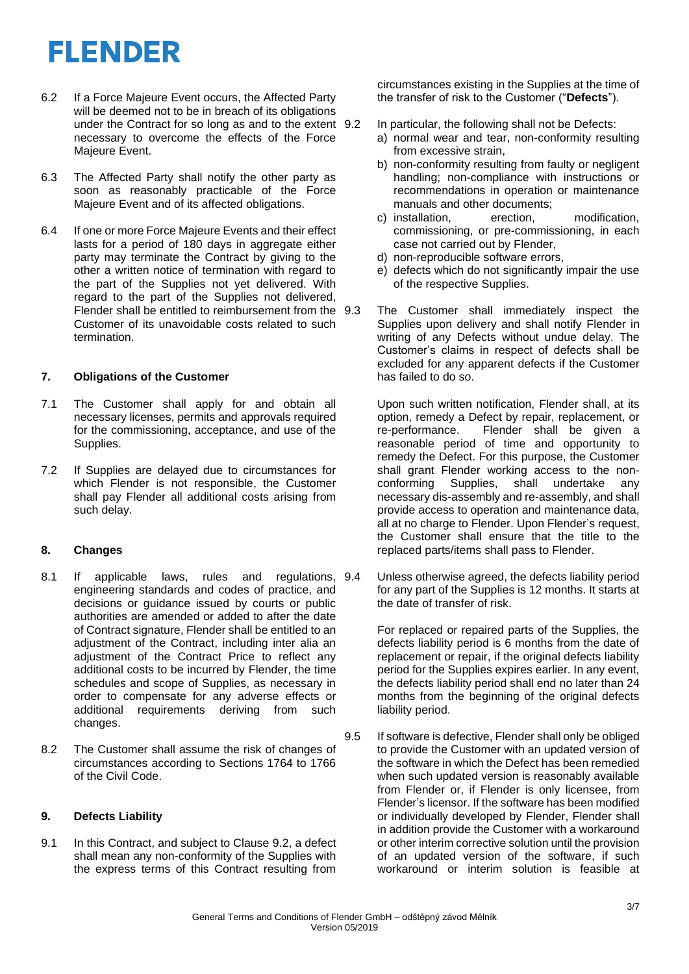- 6.2 If a Force Majeure Event occurs, the Affected Party will be deemed not to be in breach of its obligations under the Contract for so long as and to the extent 9.2 necessary to overcome the effects of the Force Majeure Event.
- 6.3 The Affected Party shall notify the other party as soon as reasonably practicable of the Force Majeure Event and of its affected obligations.
- 6.4 If one or more Force Majeure Events and their effect lasts for a period of 180 days in aggregate either party may terminate the Contract by giving to the other a written notice of termination with regard to the part of the Supplies not yet delivered. With regard to the part of the Supplies not delivered, Flender shall be entitled to reimbursement from the 9.3 Customer of its unavoidable costs related to such termination.

## **7. Obligations of the Customer**

- 7.1 The Customer shall apply for and obtain all necessary licenses, permits and approvals required for the commissioning, acceptance, and use of the Supplies.
- 7.2 If Supplies are delayed due to circumstances for which Flender is not responsible, the Customer shall pay Flender all additional costs arising from such delay.

## **8. Changes**

- 8.1 If applicable laws, rules and regulations, 9.4 engineering standards and codes of practice, and decisions or guidance issued by courts or public authorities are amended or added to after the date of Contract signature, Flender shall be entitled to an adjustment of the Contract, including inter alia an adjustment of the Contract Price to reflect any additional costs to be incurred by Flender, the time schedules and scope of Supplies, as necessary in order to compensate for any adverse effects or additional requirements deriving from such changes.
- 8.2 The Customer shall assume the risk of changes of circumstances according to Sections 1764 to 1766 of the Civil Code.

## **9. Defects Liability**

9.1 In this Contract, and subject to Clause 9.2, a defect shall mean any non-conformity of the Supplies with the express terms of this Contract resulting from

circumstances existing in the Supplies at the time of the transfer of risk to the Customer ("**Defects**").

- In particular, the following shall not be Defects:
	- a) normal wear and tear, non-conformity resulting from excessive strain,
	- b) non-conformity resulting from faulty or negligent handling; non-compliance with instructions or recommendations in operation or maintenance manuals and other documents;
	- c) installation, erection, modification, commissioning, or pre-commissioning, in each case not carried out by Flender,
	- d) non-reproducible software errors,
	- e) defects which do not significantly impair the use of the respective Supplies.
- The Customer shall immediately inspect the Supplies upon delivery and shall notify Flender in writing of any Defects without undue delay. The Customer's claims in respect of defects shall be excluded for any apparent defects if the Customer has failed to do so.

Upon such written notification, Flender shall, at its option, remedy a Defect by repair, replacement, or re-performance. Flender shall be given a reasonable period of time and opportunity to remedy the Defect. For this purpose, the Customer shall grant Flender working access to the nonconforming Supplies, shall undertake any necessary dis-assembly and re-assembly, and shall provide access to operation and maintenance data, all at no charge to Flender. Upon Flender's request, the Customer shall ensure that the title to the replaced parts/items shall pass to Flender.

Unless otherwise agreed, the defects liability period for any part of the Supplies is 12 months. It starts at the date of transfer of risk.

For replaced or repaired parts of the Supplies, the defects liability period is 6 months from the date of replacement or repair, if the original defects liability period for the Supplies expires earlier. In any event, the defects liability period shall end no later than 24 months from the beginning of the original defects liability period.

9.5 If software is defective, Flender shall only be obliged to provide the Customer with an updated version of the software in which the Defect has been remedied when such updated version is reasonably available from Flender or, if Flender is only licensee, from Flender's licensor. If the software has been modified or individually developed by Flender, Flender shall in addition provide the Customer with a workaround or other interim corrective solution until the provision of an updated version of the software, if such workaround or interim solution is feasible at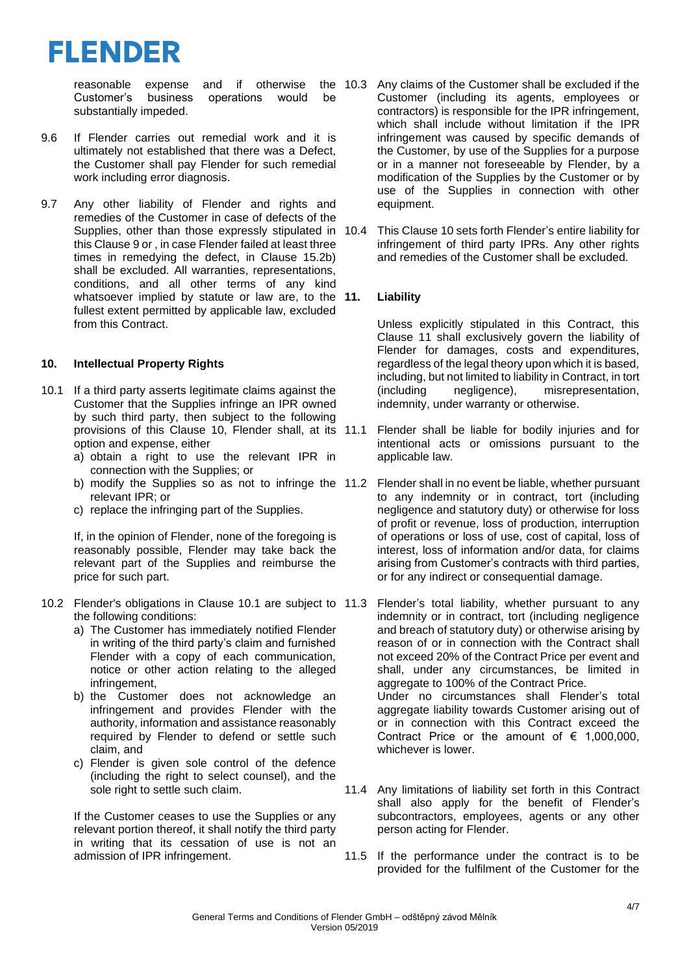

reasonable expense and if otherwise Customer's business operations would be substantially impeded.

- 9.6 If Flender carries out remedial work and it is ultimately not established that there was a Defect, the Customer shall pay Flender for such remedial work including error diagnosis.
- 9.7 Any other liability of Flender and rights and remedies of the Customer in case of defects of the Supplies, other than those expressly stipulated in 10.4 this Clause 9 or , in case Flender failed at least three times in remedying the defect, in Clause 15.2b) shall be excluded. All warranties, representations, conditions, and all other terms of any kind whatsoever implied by statute or law are, to the 11. fullest extent permitted by applicable law, excluded from this Contract.

#### **10. Intellectual Property Rights**

- 10.1 If a third party asserts legitimate claims against the Customer that the Supplies infringe an IPR owned by such third party, then subject to the following provisions of this Clause 10, Flender shall, at its 11.1 option and expense, either
	- a) obtain a right to use the relevant IPR in connection with the Supplies; or
	- b) modify the Supplies so as not to infringe the 11.2 relevant IPR; or
	- c) replace the infringing part of the Supplies.

If, in the opinion of Flender, none of the foregoing is reasonably possible, Flender may take back the relevant part of the Supplies and reimburse the price for such part.

- 10.2 Flender's obligations in Clause 10.1 are subject to 11.3 the following conditions:
	- a) The Customer has immediately notified Flender in writing of the third party's claim and furnished Flender with a copy of each communication, notice or other action relating to the alleged infringement,
	- b) the Customer does not acknowledge an infringement and provides Flender with the authority, information and assistance reasonably required by Flender to defend or settle such claim, and
	- c) Flender is given sole control of the defence (including the right to select counsel), and the sole right to settle such claim.

If the Customer ceases to use the Supplies or any relevant portion thereof, it shall notify the third party in writing that its cessation of use is not an admission of IPR infringement.

- 10.3 Any claims of the Customer shall be excluded if the Customer (including its agents, employees or contractors) is responsible for the IPR infringement, which shall include without limitation if the IPR infringement was caused by specific demands of the Customer, by use of the Supplies for a purpose or in a manner not foreseeable by Flender, by a modification of the Supplies by the Customer or by use of the Supplies in connection with other equipment.
	- This Clause 10 sets forth Flender's entire liability for infringement of third party IPRs. Any other rights and remedies of the Customer shall be excluded.

## **11. Liability**

Unless explicitly stipulated in this Contract, this Clause 11 shall exclusively govern the liability of Flender for damages, costs and expenditures, regardless of the legal theory upon which it is based, including, but not limited to liability in Contract, in tort (including negligence), misrepresentation, indemnity, under warranty or otherwise.

- Flender shall be liable for bodily injuries and for intentional acts or omissions pursuant to the applicable law.
- Flender shall in no event be liable, whether pursuant to any indemnity or in contract, tort (including negligence and statutory duty) or otherwise for loss of profit or revenue, loss of production, interruption of operations or loss of use, cost of capital, loss of interest, loss of information and/or data, for claims arising from Customer's contracts with third parties, or for any indirect or consequential damage.
- Flender's total liability, whether pursuant to any indemnity or in contract, tort (including negligence and breach of statutory duty) or otherwise arising by reason of or in connection with the Contract shall not exceed 20% of the Contract Price per event and shall, under any circumstances, be limited in aggregate to 100% of the Contract Price. Under no circumstances shall Flender's total aggregate liability towards Customer arising out of or in connection with this Contract exceed the Contract Price or the amount of  $\epsilon$  1,000,000, whichever is lower.
- 11.4 Any limitations of liability set forth in this Contract shall also apply for the benefit of Flender's subcontractors, employees, agents or any other person acting for Flender.
- 11.5 If the performance under the contract is to be provided for the fulfilment of the Customer for the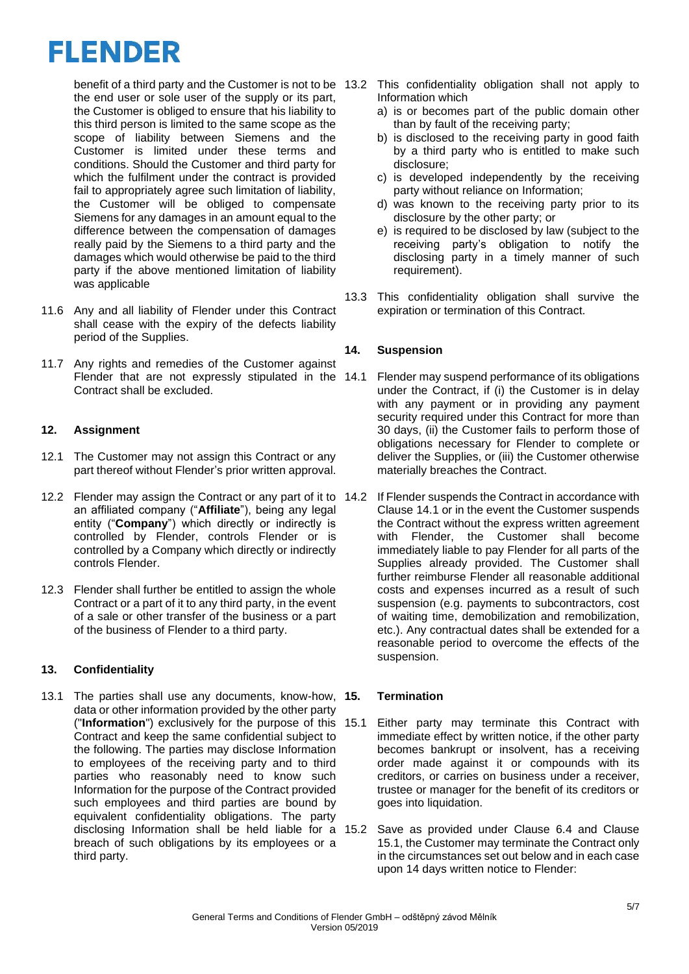benefit of a third party and the Customer is not to be the end user or sole user of the supply or its part, the Customer is obliged to ensure that his liability to this third person is limited to the same scope as the scope of liability between Siemens and the Customer is limited under these terms and conditions. Should the Customer and third party for which the fulfilment under the contract is provided fail to appropriately agree such limitation of liability, the Customer will be obliged to compensate Siemens for any damages in an amount equal to the difference between the compensation of damages really paid by the Siemens to a third party and the damages which would otherwise be paid to the third party if the above mentioned limitation of liability was applicable

- 11.6 Any and all liability of Flender under this Contract shall cease with the expiry of the defects liability period of the Supplies.
- 11.7 Any rights and remedies of the Customer against Flender that are not expressly stipulated in the 14.1 Contract shall be excluded.

# **12. Assignment**

- 12.1 The Customer may not assign this Contract or any part thereof without Flender's prior written approval.
- 12.2 Flender may assign the Contract or any part of it to 14.2 an affiliated company ("**Affiliate**"), being any legal entity ("**Company**") which directly or indirectly is controlled by Flender, controls Flender or is controlled by a Company which directly or indirectly controls Flender.
- 12.3 Flender shall further be entitled to assign the whole Contract or a part of it to any third party, in the event of a sale or other transfer of the business or a part of the business of Flender to a third party.

# **13. Confidentiality**

13.1 The parties shall use any documents, know-how, 15. data or other information provided by the other party ("**Information**") exclusively for the purpose of this Contract and keep the same confidential subject to the following. The parties may disclose Information to employees of the receiving party and to third parties who reasonably need to know such Information for the purpose of the Contract provided such employees and third parties are bound by equivalent confidentiality obligations. The party disclosing Information shall be held liable for a 15.2 breach of such obligations by its employees or a third party.

- This confidentiality obligation shall not apply to Information which
	- a) is or becomes part of the public domain other than by fault of the receiving party;
	- b) is disclosed to the receiving party in good faith by a third party who is entitled to make such disclosure;
	- c) is developed independently by the receiving party without reliance on Information;
	- d) was known to the receiving party prior to its disclosure by the other party; or
	- e) is required to be disclosed by law (subject to the receiving party's obligation to notify the disclosing party in a timely manner of such requirement).
- 13.3 This confidentiality obligation shall survive the expiration or termination of this Contract.

## **14. Suspension**

- Flender may suspend performance of its obligations under the Contract, if (i) the Customer is in delay with any payment or in providing any payment security required under this Contract for more than 30 days, (ii) the Customer fails to perform those of obligations necessary for Flender to complete or deliver the Supplies, or (iii) the Customer otherwise materially breaches the Contract.
- If Flender suspends the Contract in accordance with Clause 14.1 or in the event the Customer suspends the Contract without the express written agreement with Flender, the Customer shall become immediately liable to pay Flender for all parts of the Supplies already provided. The Customer shall further reimburse Flender all reasonable additional costs and expenses incurred as a result of such suspension (e.g. payments to subcontractors, cost of waiting time, demobilization and remobilization, etc.). Any contractual dates shall be extended for a reasonable period to overcome the effects of the suspension.

# **15. Termination**

- Either party may terminate this Contract with immediate effect by written notice, if the other party becomes bankrupt or insolvent, has a receiving order made against it or compounds with its creditors, or carries on business under a receiver, trustee or manager for the benefit of its creditors or goes into liquidation.
- Save as provided under Clause 6.4 and Clause 15.1, the Customer may terminate the Contract only in the circumstances set out below and in each case upon 14 days written notice to Flender: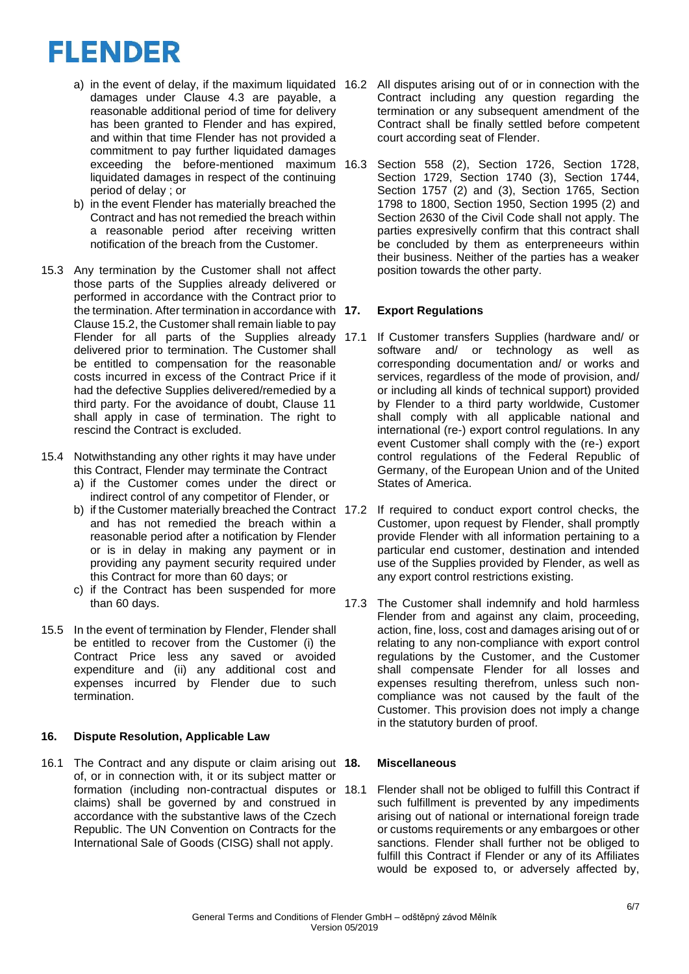- a) in the event of delay, if the maximum liquidated 16.2 damages under Clause 4.3 are payable, a reasonable additional period of time for delivery has been granted to Flender and has expired. and within that time Flender has not provided a commitment to pay further liquidated damages exceeding the before-mentioned maximum 16.3 liquidated damages in respect of the continuing period of delay ; or
- b) in the event Flender has materially breached the Contract and has not remedied the breach within a reasonable period after receiving written notification of the breach from the Customer.
- 15.3 Any termination by the Customer shall not affect those parts of the Supplies already delivered or performed in accordance with the Contract prior to the termination. After termination in accordance with 17. Clause 15.2, the Customer shall remain liable to pay Flender for all parts of the Supplies already 17.1 delivered prior to termination. The Customer shall be entitled to compensation for the reasonable costs incurred in excess of the Contract Price if it had the defective Supplies delivered/remedied by a third party. For the avoidance of doubt, Clause 11 shall apply in case of termination. The right to rescind the Contract is excluded.
- 15.4 Notwithstanding any other rights it may have under this Contract, Flender may terminate the Contract
	- a) if the Customer comes under the direct or indirect control of any competitor of Flender, or
	- b) if the Customer materially breached the Contract 17.2 and has not remedied the breach within a reasonable period after a notification by Flender or is in delay in making any payment or in providing any payment security required under this Contract for more than 60 days; or
	- c) if the Contract has been suspended for more than 60 days.
- 15.5 In the event of termination by Flender, Flender shall be entitled to recover from the Customer (i) the Contract Price less any saved or avoided expenditure and (ii) any additional cost and expenses incurred by Flender due to such termination.

## **16. Dispute Resolution, Applicable Law**

16.1 The Contract and any dispute or claim arising out 18. of, or in connection with, it or its subject matter or formation (including non-contractual disputes or claims) shall be governed by and construed in accordance with the substantive laws of the Czech Republic. The UN Convention on Contracts for the International Sale of Goods (CISG) shall not apply.

- All disputes arising out of or in connection with the Contract including any question regarding the termination or any subsequent amendment of the Contract shall be finally settled before competent court according seat of Flender.
- Section 558 (2), Section 1726, Section 1728, Section 1729, Section 1740 (3), Section 1744, Section 1757 (2) and (3), Section 1765, Section 1798 to 1800, Section 1950, Section 1995 (2) and Section 2630 of the Civil Code shall not apply. The parties expresivelly confirm that this contract shall be concluded by them as enterpreneeurs within their business. Neither of the parties has a weaker position towards the other party.

# **17. Export Regulations**

- If Customer transfers Supplies (hardware and/ or software and/ or technology as well as corresponding documentation and/ or works and services, regardless of the mode of provision, and/ or including all kinds of technical support) provided by Flender to a third party worldwide, Customer shall comply with all applicable national and international (re-) export control regulations. In any event Customer shall comply with the (re-) export control regulations of the Federal Republic of Germany, of the European Union and of the United States of America.
- If required to conduct export control checks, the Customer, upon request by Flender, shall promptly provide Flender with all information pertaining to a particular end customer, destination and intended use of the Supplies provided by Flender, as well as any export control restrictions existing.
- 17.3 The Customer shall indemnify and hold harmless Flender from and against any claim, proceeding, action, fine, loss, cost and damages arising out of or relating to any non-compliance with export control regulations by the Customer, and the Customer shall compensate Flender for all losses and expenses resulting therefrom, unless such noncompliance was not caused by the fault of the Customer. This provision does not imply a change in the statutory burden of proof.

# **18. Miscellaneous**

Flender shall not be obliged to fulfill this Contract if such fulfillment is prevented by any impediments arising out of national or international foreign trade or customs requirements or any embargoes or other sanctions. Flender shall further not be obliged to fulfill this Contract if Flender or any of its Affiliates would be exposed to, or adversely affected by,